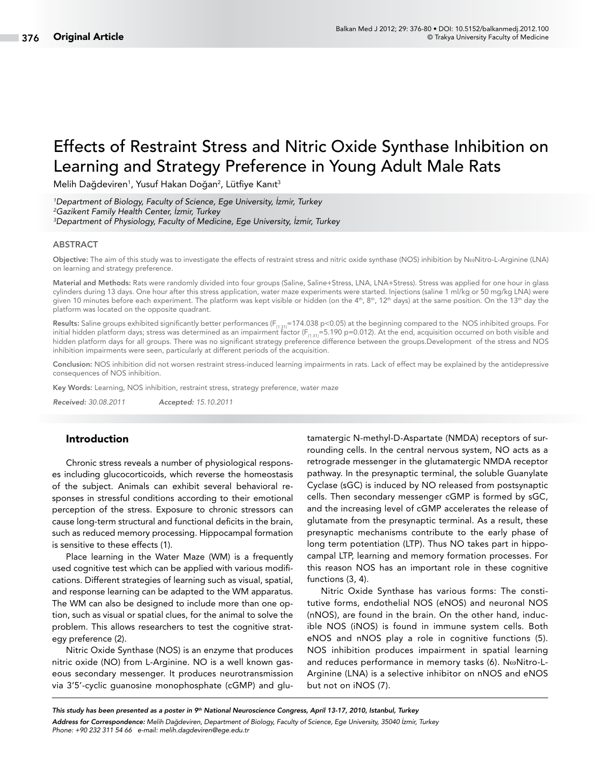# Effects of Restraint Stress and Nitric Oxide Synthase Inhibition on Learning and Strategy Preference in Young Adult Male Rats

Melih Dağdeviren<sup>1</sup>, Yusuf Hakan Doğan<sup>2</sup>, Lütfiye Kanıt<sup>3</sup>

*1 Department of Biology, Faculty of Science, Ege University, İzmir, Turkey 2 Gazikent Family Health Center, İzmir, Turkey 3 Department of Physiology, Faculty of Medicine, Ege University, İzmir, Turkey*

#### ABSTRACT

Objective: The aim of this study was to investigate the effects of restraint stress and nitric oxide synthase (NOS) inhibition by NωNitro-L-Arginine (LNA) on learning and strategy preference.

Material and Methods: Rats were randomly divided into four groups (Saline, Saline+Stress, LNA, LNA+Stress). Stress was applied for one hour in glass cylinders during 13 days. One hour after this stress application, water maze experiments were started. Injections (saline 1 ml/kg or 50 mg/kg LNA) were given 10 minutes before each experiment. The platform was kept visible or hidden (on the 4<sup>th</sup>, 8<sup>th</sup>, 12<sup>th</sup> days) at the same position. On the 13<sup>th</sup> day the platform was located on the opposite quadrant.

Results: Saline groups exhibited significantly better performances (F<sub>(1.31</sub>=174.038 p<0.05) at the beginning compared to the NOS inhibited groups. For initial hidden platform days; stress was determined as an impairment factor ( $F_{(1.31)} = 5.190$  p=0.012). At the end, acquisition occurred on both visible and hidden platform days for all groups. There was no significant strategy preference difference between the groups.Development of the stress and NOS inhibition impairments were seen, particularly at different periods of the acquisition.

Conclusion: NOS inhibition did not worsen restraint stress-induced learning impairments in rats. Lack of effect may be explained by the antidepressive consequences of NOS inhibition.

Key Words: Learning, NOS inhibition, restraint stress, strategy preference, water maze

*Received: 30.08.2011 Accepted: 15.10.2011*

## Introduction

Chronic stress reveals a number of physiological responses including glucocorticoids, which reverse the homeostasis of the subject. Animals can exhibit several behavioral responses in stressful conditions according to their emotional perception of the stress. Exposure to chronic stressors can cause long-term structural and functional deficits in the brain, such as reduced memory processing. Hippocampal formation is sensitive to these effects (1).

Place learning in the Water Maze (WM) is a frequently used cognitive test which can be applied with various modifications. Different strategies of learning such as visual, spatial, and response learning can be adapted to the WM apparatus. The WM can also be designed to include more than one option, such as visual or spatial clues, for the animal to solve the problem. This allows researchers to test the cognitive strategy preference (2).

Nitric Oxide Synthase (NOS) is an enzyme that produces nitric oxide (NO) from L-Arginine. NO is a well known gaseous secondary messenger. It produces neurotransmission via 3'5'-cyclic guanosine monophosphate (cGMP) and glutamatergic N-methyl-D-Aspartate (NMDA) receptors of surrounding cells. In the central nervous system, NO acts as a retrograde messenger in the glutamatergic NMDA receptor pathway. In the presynaptic terminal, the soluble Guanylate Cyclase (sGC) is induced by NO released from postsynaptic cells. Then secondary messenger cGMP is formed by sGC, and the increasing level of cGMP accelerates the release of glutamate from the presynaptic terminal. As a result, these presynaptic mechanisms contribute to the early phase of long term potentiation (LTP). Thus NO takes part in hippocampal LTP, learning and memory formation processes. For this reason NOS has an important role in these cognitive functions (3, 4).

Nitric Oxide Synthase has various forms: The constitutive forms, endothelial NOS (eNOS) and neuronal NOS (nNOS), are found in the brain. On the other hand, inducible NOS (iNOS) is found in immune system cells. Both eNOS and nNOS play a role in cognitive functions (5). NOS inhibition produces impairment in spatial learning and reduces performance in memory tasks (6). NωNitro-L-Arginine (LNA) is a selective inhibitor on nNOS and eNOS but not on iNOS (7).

*This study has been presented as a poster in 9th National Neuroscience Congress, April 13-17, 2010, Istanbul, Turkey Address for Correspondence: Melih Dağdeviren, Department of Biology, Faculty of Science, Ege University, 35040 İzmir, Turkey Phone: +90 232 311 54 66 e-mail: melih.dagdeviren@ege.edu.tr*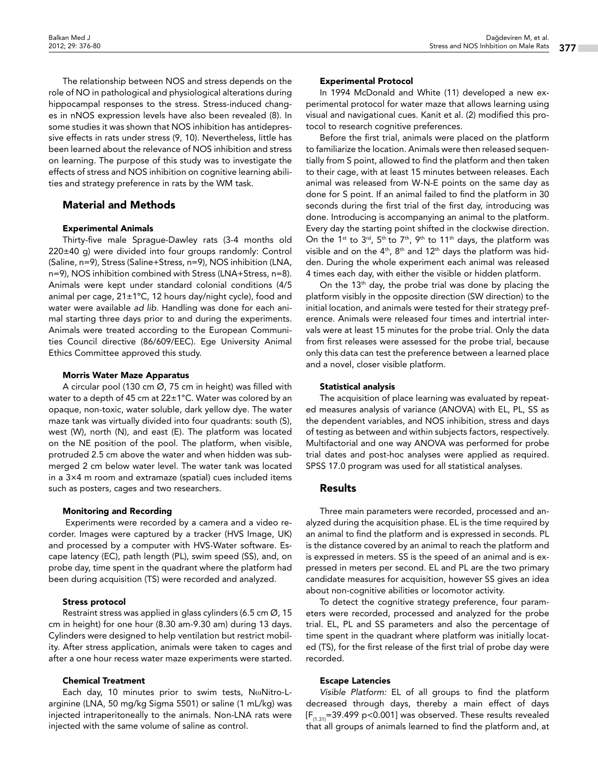The relationship between NOS and stress depends on the role of NO in pathological and physiological alterations during hippocampal responses to the stress. Stress-induced changes in nNOS expression levels have also been revealed (8). In some studies it was shown that NOS inhibition has antidepressive effects in rats under stress (9, 10). Nevertheless, little has been learned about the relevance of NOS inhibition and stress on learning. The purpose of this study was to investigate the effects of stress and NOS inhibition on cognitive learning abilities and strategy preference in rats by the WM task.

# Material and Methods

## Experimental Animals

Thirty-five male Sprague-Dawley rats (3-4 months old 220±40 g) were divided into four groups randomly: Control (Saline, n=9), Stress (Saline+Stress, n=9), NOS inhibition (LNA, n=9), NOS inhibition combined with Stress (LNA+Stress, n=8). Animals were kept under standard colonial conditions (4/5 animal per cage, 21±1ºC, 12 hours day/night cycle), food and water were available *ad lib*. Handling was done for each animal starting three days prior to and during the experiments. Animals were treated according to the European Communities Council directive (86/609/EEC). Ege University Animal Ethics Committee approved this study.

## Morris Water Maze Apparatus

A circular pool (130 cm Ø, 75 cm in height) was filled with water to a depth of 45 cm at 22±1°C. Water was colored by an opaque, non-toxic, water soluble, dark yellow dye. The water maze tank was virtually divided into four quadrants: south (S), west (W), north (N), and east (E). The platform was located on the NE position of the pool. The platform, when visible, protruded 2.5 cm above the water and when hidden was submerged 2 cm below water level. The water tank was located in a 3×4 m room and extramaze (spatial) cues included items such as posters, cages and two researchers.

## Monitoring and Recording

 Experiments were recorded by a camera and a video recorder. Images were captured by a tracker (HVS Image, UK) and processed by a computer with HVS-Water software. Escape latency (EC), path length (PL), swim speed (SS), and, on probe day, time spent in the quadrant where the platform had been during acquisition (TS) were recorded and analyzed.

## Stress protocol

Restraint stress was applied in glass cylinders (6.5 cm  $\varnothing$ , 15 cm in height) for one hour (8.30 am-9.30 am) during 13 days. Cylinders were designed to help ventilation but restrict mobility. After stress application, animals were taken to cages and after a one hour recess water maze experiments were started.

## Chemical Treatment

Each day, 10 minutes prior to swim tests, NωNitro-Larginine (LNA, 50 mg/kg Sigma 5501) or saline (1 mL/kg) was injected intraperitoneally to the animals. Non-LNA rats were injected with the same volume of saline as control.

## Experimental Protocol

In 1994 McDonald and White (11) developed a new experimental protocol for water maze that allows learning using visual and navigational cues. Kanit et al. (2) modified this protocol to research cognitive preferences.

Before the first trial, animals were placed on the platform to familiarize the location. Animals were then released sequentially from S point, allowed to find the platform and then taken to their cage, with at least 15 minutes between releases. Each animal was released from W-N-E points on the same day as done for S point. If an animal failed to find the platform in 30 seconds during the first trial of the first day, introducing was done. Introducing is accompanying an animal to the platform. Every day the starting point shifted in the clockwise direction. On the 1<sup>st</sup> to 3<sup>rd</sup>, 5<sup>th</sup> to 7<sup>th</sup>, 9<sup>th</sup> to 11<sup>th</sup> days, the platform was visible and on the  $4<sup>th</sup>$ ,  $8<sup>th</sup>$  and  $12<sup>th</sup>$  days the platform was hidden. During the whole experiment each animal was released 4 times each day, with either the visible or hidden platform.

On the 13<sup>th</sup> day, the probe trial was done by placing the platform visibly in the opposite direction (SW direction) to the initial location, and animals were tested for their strategy preference. Animals were released four times and intertrial intervals were at least 15 minutes for the probe trial. Only the data from first releases were assessed for the probe trial, because only this data can test the preference between a learned place and a novel, closer visible platform.

## Statistical analysis

The acquisition of place learning was evaluated by repeated measures analysis of variance (ANOVA) with EL, PL, SS as the dependent variables, and NOS inhibition, stress and days of testing as between and within subjects factors, respectively. Multifactorial and one way ANOVA was performed for probe trial dates and post-hoc analyses were applied as required. SPSS 17.0 program was used for all statistical analyses.

# Results

Three main parameters were recorded, processed and analyzed during the acquisition phase. EL is the time required by an animal to find the platform and is expressed in seconds. PL is the distance covered by an animal to reach the platform and is expressed in meters. SS is the speed of an animal and is expressed in meters per second. EL and PL are the two primary candidate measures for acquisition, however SS gives an idea about non-cognitive abilities or locomotor activity.

To detect the cognitive strategy preference, four parameters were recorded, processed and analyzed for the probe trial. EL, PL and SS parameters and also the percentage of time spent in the quadrant where platform was initially located (TS), for the first release of the first trial of probe day were recorded.

# Escape Latencies

*Visible Platform:* EL of all groups to find the platform decreased through days, thereby a main effect of days  $[F_{(1,31)}=39.499 \text{ p}$ <0.001] was observed. These results revealed that all groups of animals learned to find the platform and, at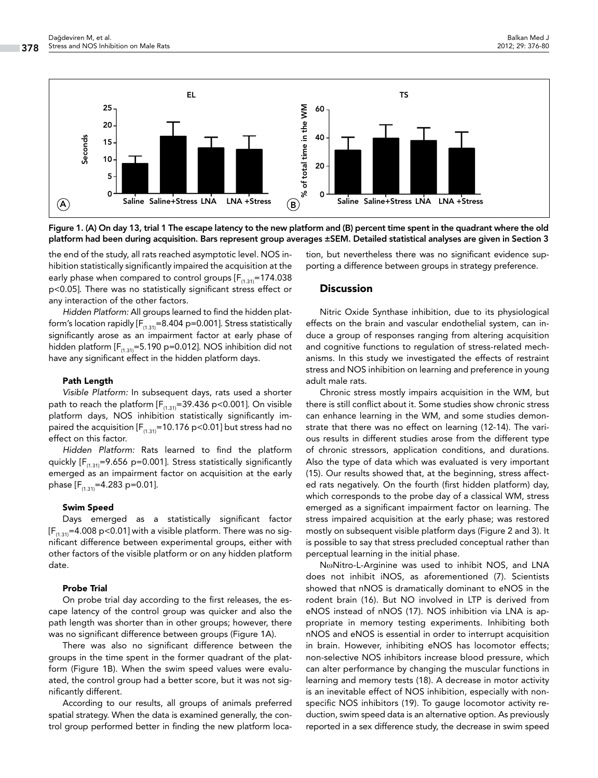

Figure 1. (A) On day 13, trial 1 The escape latency to the new platform and (B) percent time spent in the quadrant where the old platform had been during acquisition. Bars represent group averages ±SEM. Detailed statistical analyses are given in Section 3

the end of the study, all rats reached asymptotic level. NOS inhibition statistically significantly impaired the acquisition at the early phase when compared to control groups  $[F_{(1,31)}=174.038]$ p<0.05]. There was no statistically significant stress effect or any interaction of the other factors.

*Hidden Platform:* All groups learned to find the hidden platform's location rapidly  $[F_{(1,31)}=8.404 \text{ p}=0.001]$ . Stress statistically significantly arose as an impairment factor at early phase of hidden platform  $[F_{(1,31)}=5.190 \text{ p}=0.012]$ . NOS inhibition did not have any significant effect in the hidden platform days.

#### Path Length

*Visible Platform:* In subsequent days, rats used a shorter path to reach the platform  $[F_{(1,31)}=39.436 \text{ p} < 0.001]$ . On visible platform days, NOS inhibition statistically significantly impaired the acquisition  $[F_{(1,31)}=10.176 \text{ p} < 0.01]$  but stress had no effect on this factor.

*Hidden Platform:* Rats learned to find the platform quickly  $[F_{(1,31)}=9.656 \text{ p}=0.001]$ . Stress statistically significantly emerged as an impairment factor on acquisition at the early phase  $[F_{(1,31)}=4.283 \text{ p}=0.01].$ 

#### Swim Speed

Days emerged as a statistically significant factor  $[F_{(1,31)}=4.008 \text{ p}$ <0.01] with a visible platform. There was no significant difference between experimental groups, either with other factors of the visible platform or on any hidden platform date.

#### Probe Trial

On probe trial day according to the first releases, the escape latency of the control group was quicker and also the path length was shorter than in other groups; however, there was no significant difference between groups (Figure 1A).

There was also no significant difference between the groups in the time spent in the former quadrant of the platform (Figure 1B). When the swim speed values were evaluated, the control group had a better score, but it was not significantly different.

According to our results, all groups of animals preferred spatial strategy. When the data is examined generally, the control group performed better in finding the new platform location, but nevertheless there was no significant evidence supporting a difference between groups in strategy preference.

#### **Discussion**

Nitric Oxide Synthase inhibition, due to its physiological effects on the brain and vascular endothelial system, can induce a group of responses ranging from altering acquisition and cognitive functions to regulation of stress-related mechanisms. In this study we investigated the effects of restraint stress and NOS inhibition on learning and preference in young adult male rats.

Chronic stress mostly impairs acquisition in the WM, but there is still conflict about it. Some studies show chronic stress can enhance learning in the WM, and some studies demonstrate that there was no effect on learning (12-14). The various results in different studies arose from the different type of chronic stressors, application conditions, and durations. Also the type of data which was evaluated is very important (15). Our results showed that, at the beginning, stress affected rats negatively. On the fourth (first hidden platform) day, which corresponds to the probe day of a classical WM, stress emerged as a significant impairment factor on learning. The stress impaired acquisition at the early phase; was restored mostly on subsequent visible platform days (Figure 2 and 3). It is possible to say that stress precluded conceptual rather than perceptual learning in the initial phase.

NωNitro-L-Arginine was used to inhibit NOS, and LNA does not inhibit iNOS, as aforementioned (7). Scientists showed that nNOS is dramatically dominant to eNOS in the rodent brain (16). But NO involved in LTP is derived from eNOS instead of nNOS (17). NOS inhibition via LNA is appropriate in memory testing experiments. Inhibiting both nNOS and eNOS is essential in order to interrupt acquisition in brain. However, inhibiting eNOS has locomotor effects; non-selective NOS inhibitors increase blood pressure, which can alter performance by changing the muscular functions in learning and memory tests (18). A decrease in motor activity is an inevitable effect of NOS inhibition, especially with nonspecific NOS inhibitors (19). To gauge locomotor activity reduction, swim speed data is an alternative option. As previously reported in a sex difference study, the decrease in swim speed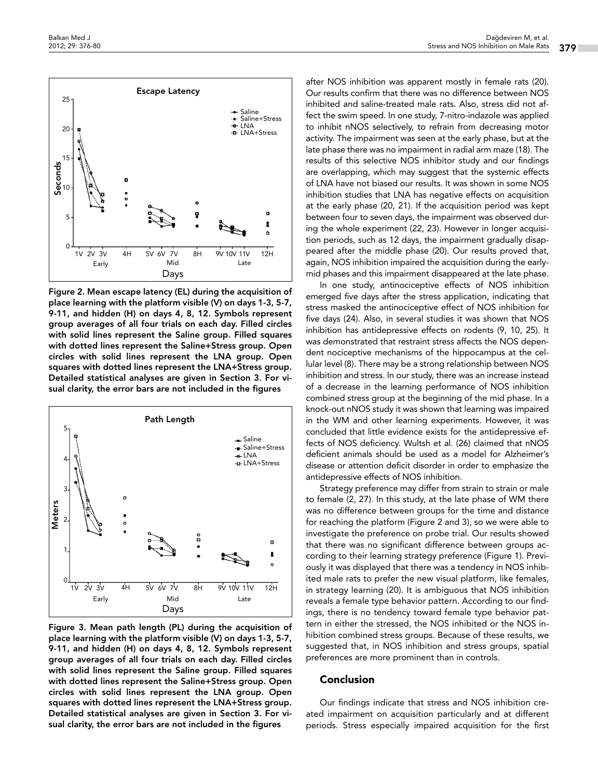

Figure 2. Mean escape latency (EL) during the acquisition of place learning with the platform visible (V) on days 1-3, 5-7, 9-11, and hidden (H) on days 4, 8, 12. Symbols represent group averages of all four trials on each day. Filled circles with solid lines represent the Saline group. Filled squares with dotted lines represent the Saline+Stress group. Open circles with solid lines represent the LNA group. Open squares with dotted lines represent the LNA+Stress group. Detailed statistical analyses are given in Section 3. For visual clarity, the error bars are not included in the figures



Figure 3. Mean path length (PL) during the acquisition of place learning with the platform visible (V) on days 1-3, 5-7, 9-11, and hidden (H) on days 4, 8, 12. Symbols represent group averages of all four trials on each day. Filled circles with solid lines represent the Saline group. Filled squares with dotted lines represent the Saline+Stress group. Open circles with solid lines represent the LNA group. Open squares with dotted lines represent the LNA+Stress group. Detailed statistical analyses are given in Section 3. For visual clarity, the error bars are not included in the figures

after NOS inhibition was apparent mostly in female rats (20). Our results confirm that there was no difference between NOS inhibited and saline-treated male rats. Also, stress did not affect the swim speed. In one study, 7-nitro-indazole was applied to inhibit nNOS selectively, to refrain from decreasing motor activity. The impairment was seen at the early phase, but at the late phase there was no impairment in radial arm maze (18). The results of this selective NOS inhibitor study and our findings are overlapping, which may suggest that the systemic effects of LNA have not biased our results. It was shown in some NOS inhibition studies that LNA has negative effects on acquisition at the early phase (20, 21). If the acquisition period was kept between four to seven days, the impairment was observed during the whole experiment (22, 23). However in longer acquisition periods, such as 12 days, the impairment gradually disappeared after the middle phase (20). Our results proved that, again, NOS inhibition impaired the acquisition during the earlymid phases and this impairment disappeared at the late phase.

In one study, antinociceptive effects of NOS inhibition emerged five days after the stress application, indicating that stress masked the antinociceptive effect of NOS inhibition for five days (24). Also, in several studies it was shown that NOS inhibition has antidepressive effects on rodents (9, 10, 25). It was demonstrated that restraint stress affects the NOS dependent nociceptive mechanisms of the hippocampus at the cellular level (8). There may be a strong relationship between NOS inhibition and stress. In our study, there was an increase instead of a decrease in the learning performance of NOS inhibition combined stress group at the beginning of the mid phase. In a knock-out nNOS study it was shown that learning was impaired in the WM and other learning experiments. However, it was concluded that little evidence exists for the antidepressive effects of NOS deficiency. Wultsh et al. (26) claimed that nNOS deficient animals should be used as a model for Alzheimer's disease or attention deficit disorder in order to emphasize the antidepressive effects of NOS inhibition.

Strategy preference may differ from strain to strain or male to female (2, 27). In this study, at the late phase of WM there was no difference between groups for the time and distance for reaching the platform (Figure 2 and 3), so we were able to investigate the preference on probe trial. Our results showed that there was no significant difference between groups according to their learning strategy preference (Figure 1). Previously it was displayed that there was a tendency in NOS inhibited male rats to prefer the new visual platform, like females, in strategy learning (20). It is ambiguous that NOS inhibition reveals a female type behavior pattern. According to our findings, there is no tendency toward female type behavior pattern in either the stressed, the NOS inhibited or the NOS inhibition combined stress groups. Because of these results, we suggested that, in NOS inhibition and stress groups, spatial preferences are more prominent than in controls.

## Conclusion

Our findings indicate that stress and NOS inhibition created impairment on acquisition particularly and at different periods. Stress especially impaired acquisition for the first